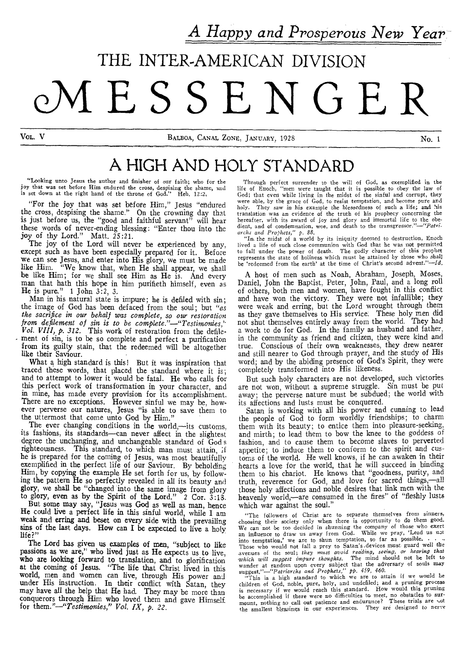A *Happy and Prosperous New Year* 

## THE INTER-AMERICAN DIVISION

# **QMESSENGER**

Vol. V **BALBOA, CANAL ZONE, JANUARY, 1928** No. 1

## A HIGH AND HOLY STANDARD

"Looking unto Jesus the author and finisher of our faith; who for the joy that was set before Him endured the cross, despising the shame, and is set down at the right hand of the throne of God," Fleb. 12:2,

"For the joy that was set before Him," Jesus "endured the cross, despising the shame." On the crowning day that is just before us, the "good and faithful servant" will hear these words of never-ending blessing: "Enter thou into the joy of thy Lord." Matt. 25:21.

The joy of the Lord will never be experienced by any, except such as have been especially prepared for it. Before we can see Jesus, and enter into His glory, we must be made like Him. "We know that, when He shall appear, we shall be like Him; for we shall see Him as He is. And every man that hath this hope in him purifieth himself, even as He is pure." 1 John 3:2, 3.

Man in his natural state is impure; he is defiled with sin; the image of God has been defaced from the soul; but *"as the sacrifice in our behalf was complete, so our restoration from defilement of sin is to be complete."—"Testimonies," Vol. VIII, p. 312.* This work of restoration from the defile ment of sin, is to be so complete and perfect a purification from its guilty stain, that the redeemed will be altogether like their Saviour.

What a high standard is this! But it was inspiration that traced these words, that placed the standard where it is; and to attempt to lower it would be fatal. He who calls for this perfect work of transformation in your character, and in mine, has made every provision for its accomplishment. There are no exceptions. However sinful we may be, however perverse our natures, Jesus "is able to save them to the uttermost that come unto God by Him."

The ever changing conditions in the world,—its customs, its fashions, its standards—can never affect in the slightest degree the unchanging, and unchangeable standard of God s righteousness. This standard, to which man must attain, ;f he is prepared for the coming of Jesus, was most beautifully exemplified in the perfect life of our Saviour. By beholding Him, by copying the example He set forth for us, by following the pattern He so perfectly revealed in all its beauty and **glory, we shall be "changed into the same image** from glory to glory, **even as by the Spirit of the Lord." 2 Cor. 3:13. But some may say, "Jesus was God as well as man, hence He could live a perfect life in this sinful world, while I am weak and erring and beset on every side with the prevailing sins of the last days. How can** I **be expected to live a** holy life?"

The **Lord has given us examples of men, "subject to like passions as we are," who lived just as He expects us to live, who are looking forward to translation, and to glorification at the coming of Jesus. "The life that Christ** lived in this world, men and women can live, through His power ant under His instruction. In their conflict with Satan, they may have all the help that He had. They may be more than conquerors through Him who loved them and gave Himself for *them."—"Testimonies," Vol. IX, p. 22.* 

Through perfect surrender to the will of God, as exemplified in the life of Enoch, "men were taught that it is possible to obey the law of God; that even while living in the midst of the sinful and corrupt, they were able, by the grace of God, to resist temptation, and become pure and holy<br>holy They saw in his example the blessedness of such a life; and his They saw in his example the blessedness of such a life; and his translation was an evidence of the truth of his prophecy concerning the hereafter, with its award of joy and glory and immortal life to the obe-<br>dient, and of condemnation, woe, and death to the transgressor."—"Patri*archs and Prophets," p. 88.* 

"In. the midst *of* a world by its iniquity doomed to destruction, Enoch lived a life of such close communion with God that he was not permitted to fall under the power of death. The godly character of this prophet represents the state of holiness which must be attained by those who shall be 'redeemed from the earth' at the time of Christ's second advent."—Id.

A host of men such as Noah, Abraham, Joseph, Moses, Daniel, John the Baptist, Peter, John, Paul, and a long roil of others, both men and women, have fought in this conflict and have won the victory. They were not infallible; they were weak and erring, but the Lord wrought through them as they gave themselves to His service. These holy men did not shut themselves entirely away from the world. They had a work to do for God. In the family as husband and father, in the community as friend and citizen, they were kind and true. Conscious of their own weaknesses, they drew nearer and still nearer to God through prayer, and the study of His word; and by the abiding presence of God's Spirit, they were completely transformed into His likeness.

But such holy characters are not developed, such victories are not won, without a supreme struggle. Sin must be put away; the perverse nature must be subdued; the world with its affections and lusts must be conquered.

Satan is working with all his power and cunning to lead the people of God to form worldly friendships; to charm them with its beauty; to entice them into pleasure-seeking, and mirth; to lead them to bow the knee to the goddess of fashion, and to cause them to become slaves to perverted appetite; to induce them to conform to the spirit and customs of the world. He well knows, if he can awaken in their hearts a love for the world, that he will succeed in binding them to his chariot. He knows that "goodness, purity, and truth, reverence for God, and love for sacred things,—all those holy affections and noble desires that link men with the heavenly world,—are consumed in the fires" of "fleshly lusts which war against the soul."

"The followers of Christ are to separate themselves from sinners, choosing their society only when there is opportunity to do them good. We can not be too decided in *shunning* the company of those who exert an influence to draw us away from God. While we pray, 'Lead us not into temptation,' we are to shun temptation, so far as possible. . • .. Those who would not fall a prey to Satan's, devices must guard well the avenues of the soul; *they must avoid reading, seeing, or hearing that -which will suggest impure thoughts. The* mind should not be left to

wander at random upon every subject that the adversary of souls may suggest."—"Patriarchs and Prophets," pp. 459, 460.<br>"This is a high standard to which we are to attain if we would be "This is a high standard to which we is necessary if we would reach this standard. How would this pruning be accomplished if there were no difficulties to meet, no obstacles to surmount, nothing to call out patience and endurance? These trials are not the smallest hierarings in our experiences. They are designed to nerve the smallest blessings in our experiences.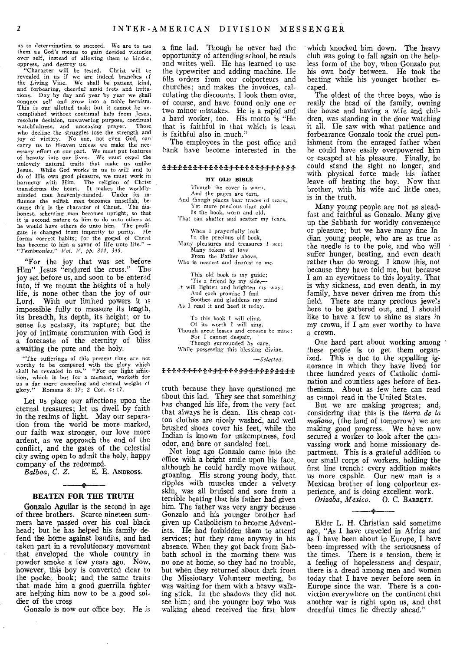us to determination to succeed. We are to use them as God's means to gain decided victories over self, instead of allowing them to hinder,

oppress, and destroy us.<br>
"Character will be tested. Christ will be<br>
revealed in us if we are indeed branches of<br>
the Living Vine. We shall be patient, kind, and forbearing, cheerful amid frets and irritations. Day by day and year by year we shall conquer self and grow into a noble heroism. This is our allotted task; but it cannot be accomplished without continual help from Jesus, resolute decision, unwavering purpose, continual watchfulness, and unceasing prayer. Those who decline the struggles lose the strength and joy of victory. No one, not even God, can carry us to Heaven unless we make the nec-essary effort on our part. We must put features of beauty into our lives. We must expel the unlovely natural traits that make us unlike Jesus. While God works in us to -will and to do of His own good pleasure, we must work in harmony with Him. The religion of Christ transforms the heart. It makes the worldlyminded man heavenly-minded. Under its influence the selfish man becomes unselfish, because this is the character of Christ. The dishonest, scheming man becomes upright, so that it is second nature to him to do unto others as he would have others do unto him. The profligate is changed from impurity to purity. He forms correct habits; for the gospel of Christ has become to him a savor of life unto life." *— "Testimonies," Vol. V, pp. 344, 345.* 

"For the joy that was set before Him" Jesus "endured the cross." The joy set before **us,** and soon to be entered into, if we mount the heights of a holy life, is none other than the joy of our Lord. With our limited powers it is impossible fully to measure its length, its breadth, its depth, its height; or to sense its ecstasy, its rapture; but the joy of intimate communion with God is a foretaste of the eternity of bliss awaiting the pure and the holy.

"The sufferings of this present time are not worthy to be compared with the glory which shall be revealed in us." "For our light affliction, which is but for a moment, worketh for us a far more exceeding and eternal weight cf glory." Romans 8: 17; 2 Cor. 4: 17.

Let us place our affections upon the eternal treasures; let us dwell by faith in the realms of light. May our separation from the world be more marked, our faith wax stronger, our love more ardent, as we approach the end of the conflict, and the gates of the celestial city swing open to admit the holy, happy company of the redeemed.<br>Balboa, C. Z. E. E.

**E. E. ANDROSS.** 

#### $\rightarrow$ **BEATEN FOR THE TRUTH**

Gonzalo Aguilar is the second in age of three brothers. Scarce nineteen summers have passed over his coal black head; but he has helped his family de, fend the home against bandits, and had taken part in a revolutionary movement that enveloped the whole country in powder smoke a few years ago. Now, however, this boy is converted clear to the pocket book; and the same traits that made him a good guerrilla fighter are helping him now to be a good soldier of the cross

Gonzalo is now our office boy. He is

a fine lad. Though he never had the opportunity of attending school, he reads and writes well. He has learned to use the typewriter and adding machine. He fills orders from our colporteurs and churches; and makes the invoices, calculating the discounts. I look them over, of course, and have found only one or two minor mistakes, He is a rapid and a hard worker, too. His motto is "He that is faithful in that which is least is faithful also in much."

The employees in the post office and hank have become interested in the

#### <del>ዸ</del>፝ቝቚቝቚቝቚቚቚቚቚቚቚቚቚቚቝቚቝቚ

#### MY OLD BIBLE

Though the cover is worn, And the pages are torn, And though places hear traces of tears, Yet more precious than gold Is the book, worn and old, That can shatter and scatter my fears.

When I prayerfully look In the precious old book, Many pleasures and treasures 1 see, Many tokens of love From the Father above, Who is nearest and dearest to me.

This old book is my guide; 'Tis a friend by my side,— It will lighten and brighten my way; And each promise I find

Soothes and gladdens my mind

As I read it and heed it today.

To this book I will cling, Of its worth I will sing, Though great losses and crosses be mine; For I cannot despair, Though surrounded by care, While possessing this blessing divine.

*--Selected.* 

#### 

truth because they have questioned me about this lad. They see that something has changed his life, from the very fact that always he is clean. His cheap cotton clothes are nicely washed, and well brushed shoes cover his feet, while the Indian is known for unkemptness, foul odor, and bare or sandaled feet.

Not long ago Gonzalo came into the office with a bright smile upon his face, although he could hardly move without groaning. His strong young body, that ripples with muscles under a velvety skin, was all bruised and sore from a terrible beating that his father had given him. The father was very angry because Gonzalo and his younger brother had given up Catholicism to become Adventists. He had forbidden them to attend services; but they came anyway in his absence. When they got back from Sabbath school in the morning there was no one at home, so they had no trouble, but when they returned about dark from the Missionary Volunteer meeting, he was waiting for them with a heavy walking stick. In the shadows they did not see him; and the younger boy who was walking ahead received the first blow

which knocked him down. The heavy club was going to fall again on the helpless form of the boy, when Gonzalo put his own body between. He took the beating while his younger brother escaped.

The oldest of the three boys, who is really the head of the family, owning the house and having a wife and children, was standing in the door watching it all. He saw with what patience and forbearance Gonzalo took the cruel punishment from the enraged father when he could have easily overpowered him or escaped at his pleasure. Finally, he could stand the sight no longer, and with physical force made his father leave off beating the boy. Now that brother, with his wife and little ones, is in the truth.

Many young people are not as steadfast and faithful as Gonzalo. Many give up the Sabbath for worldly convenience or pleasure; but we have many fine In dian young people, who are as true as the needle is to the pole, and who will suffer hunger, beating, and even death rather than do wrong. I know this, not because they have told me, but because I am an eyewitness to this loyalty. That is why sickness, and even death, in my family, have never driven me from this field. There are many precious jewels here to be gathered out, and I should like to have a few to shine as stars in my crown, if I am ever worthy to have a crown.

One hard part about working among these people is to get them organized. This is due to the appalling ignorance in which they have lived for three hundred years of Catholic domination and countless ages before of heathenism. About as few here can read as cannot read in the United States.

But we are making progress; and, considering that this is the *tierra de la mañana*, (the land of tomorrow) we are making good progress. We have now secured a worker to look after the canvassing work and home missionary department. This is a grateful addition to our small corps of workers, holding the first line trench: every addition makes us more capable. Our new man is a Mexican brother of long colporteur experience, and is doing excellent work.<br>Orizaba, Mexico. O. C. BARRETT.

*Orizaba, Mexico.* 

Elder L. H. Christian said sometime ago, "As I have traveled in Africa and as I have been about in Europe, I have been impressed with the seriousness of the times. There is a tension, there is a feeling of hopelessness and despair, there is a dread among men and women today that I have never before seen in Europe since the war. There is a conviction everywhere on the continent that another war is right upon us, and that dreadful times lie directly ahead."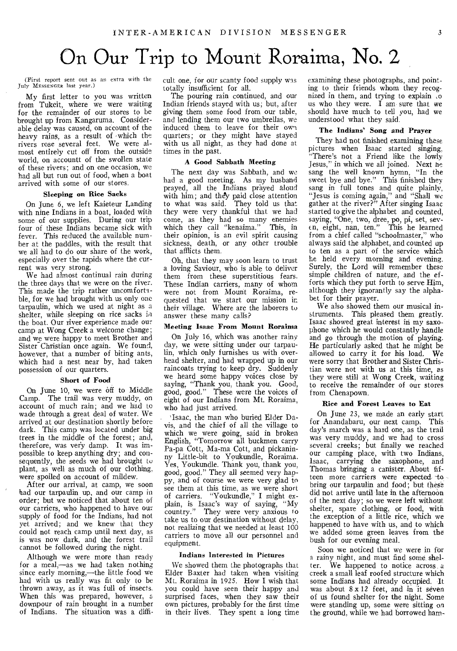## On Our Trip to Mount Roraima, No. 2

(First report sent out as an extra with the July MESSENGER last year.)

My first letter to you was written from Tukeit, where we were waiting for the remainder of our stores to be brought up from Kangaruma. Considerable delay was caused, on account of the heavy rains, as a result of 'which the rivers rose several feet. We were almost entirely cut off from the outside world, on accountt of the swollen state of these rivers; and on one occasion, we had all but run out of food, when a boat arrived with some of our stores.

#### Sleeping on Rice Sacks

On June 6, we left Kaieteur Landing with nine Indians in a boat, loaded with some of our supplies. During our trip four of these Indians became sick with fever. This reduced the available number at the paddles, with the result that we all had to do our share of the work, especially over the rapids where the current was very strong.

We had almost continual rain during the three days that we were on the river. This made the trip rather uncomfortable, for we had brought with us only one tarpaulin, which we used at night as a shelter, while sleeping on rice sacks in the boat. Our river experience made our camp at Wong Creek a welcome change; and we were happy to meet Brother and Sister Christian once again. We found, however, that a number of biting ants, which had a nest near by, had taken possession of our quarters.

#### Short of Food

On June 10, we were off to Middle Camp. The trail was very muddy, on account of much rain; and we had to wade through a great deal of water. We arrived at our destination shortly before dark. This camp was located under big trees in the middle of the forest; and, therefore, was very damp. It was impossible to keep anything dry; and consequently, the seeds we had brought *to*  plant, as well as much of our clothing, were spoiled on account of mildew,

After our arrival, at camp, we soon had our tarpaulin up, and our camp in order; but we noticed that about ten of our carriers, who happened to have our supply of food for the Indians, had not yet arrived; and we knew that they could not reach camp until next day, as is was now dark, and the forest trail cannot be followed during the night.

Although we were more than ready for a meal,—as we had taken nothing since early morning,—the little food we had with us really was fit only to be thrown away, as it was full of insects. When this was prepared, however, a downpour of rain brought in a number of Indians. The situation was a difficult one, for our scanty food supply was totally insufficient for all.

The pouring rain continued, and our Indian friends stayed with us; but, after giving them some food from our table, and lending them our two umbrellas, we induced them to leave for their own quarters; or they might have stayed with us all night, as they had done at times in the past.

#### A Good Sabbath Meeting

The next day was Sabbath, and we had a good meeting. As my husband prayed, all the Indians prayed aloud with him; and they paid close attention to what was said. They told us that they were very thankful that we had come, as they had so many enemies which they call "kenaima." This, in their opinion, is an evil spirit causing sickness, death, or any other trouble that afflicts them.

Oh, that they may soon learn to trust a loving Saviour, who is able to deliver them from these superstitious fears. These Indian carriers, many of whom were not from Mount Roraima, requested that we start our mission in their village. Where are the laborers to answer these many calls?

#### Meeting Isaac From Mount Roraima

On July 16, which was another rainy day, we were sitting under our tarpaulin, which only furnishes us with overhead shelter, and had wrapped up in our raincoats trying to keep dry. Suddenly we heard some happy voices close by saying, "Thank you, thank you. Good, good, good." These were the voices of eight of our Indians from Mt. Roraima, who had just arrived.

'Isaac, the man who buried Elder Davis, and the chief of all the village to which we were going, said in broken English, "Tomorrow all buckmen carry Pa-pa Cott, Ma-ma Cott, and pickaninny Little-bit to Youkundle, Roraima. Yes, Youkundle. Thank you, thank you, good, good." They all seemed very happy, and of course we were very glad to see them at this time, as we were short of carriers. "Youkundle," I might explain, is Isaac's way of saying, "My country." They were very anxious to take us to our destination without delay, not realizing that we needed at least 100 carriers to move all our personnel and equipment.

#### *Indians* Interested in Pictures

We showed them the photographs that Elder Baxter had taken when visiting Mt. Roraima in 1925. How I wish that you could have seen their happy and surprised faces, when they saw their own pictures, probably for the first time in their lives. They spent a long time

examining these photographs, and pointing to their friends whom they recognized in them, and trying to explain io us who they were. I am sure that we should have much to tell you, had we understood what they said.

#### The Indians' Song and Prayer

They had not finished examining these pictures when Isaac started singing, "There's not a Friend like the lowly Jesus," in which we all joined. Next he sang the well known hymn, "In the sweet bye and bye." This finished they sang in full tones and quite plainly, "Jesus is coming again," and "Shall we gather at the river?" After singing Isaac started to give the alphabet and counted, saying, "One, two, dree, po, pi, set, seven, eight, nan, ten." This he learned from a chief called "schoolmaster," who always said the alphabet, and counted up to ten as a part of the service which he held every morning and evening. Surely, the Lord will remember these simple children of nature, and the efforts which they put forth to serve Him, although they ignorantly say the alphabet for their prayer.

We also showed them our musical instruments. This pleased them greatly. Isaac showed great interest in my saxophone which he would constantly handle and go through the motion of playing. He particularly asked that he might be allowed to carry it for his load. We were sorry that Brother and Sister Christian were not with us at this time, as they were still at Wong Creek, waiting to receive the remainder of our stores from Chenapown.

#### Rice and Forest Leaves to Eat

On. June 23, we made an early start for Anandabaru, our next camp. This day's march was a hard one, as the trail was very muddy, and we had to cross several creeks; but finally we reached our camping place, with two Indians, Isaac, carrying the saxophone, and Thomas bringing a canister. About fifteen more carriers were expected to bring our tarpaulin and food; but these did not arrive until late in the afternoon of the next day; so we were left without shelter, spare clothing, or food, with the exception of a little rice, which we happened to have with us, and to which we added some green leaves from the bush for our evening meal.

Soon we noticed that we were in for a rainy night, and must find some, shelter. We happened to notice across a creek a small leaf roofed structure which some Indians had already occupied. It was about  $8 \times 12$  feet, and in it seven of us found shelter for the night. Some were standing up, some were sitting on the ground, while we had borrowed ham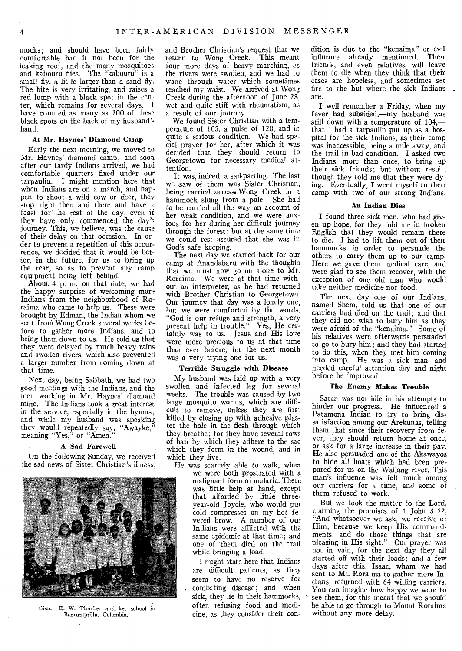mocks; and should have been fairly comfortable had it not been for the leaking roof, and the many mosquitoes and kabouru flies. The "kabouru" is a small fly, a little larger than a sand fly. The bite is very irritating, and raises a red lump with a black spot in the center, which remains for several days. I have counted as many as 200 of these black spots on the back of my husband's hand.

#### At Mr. Haynes' Diamond Camp

Early the next morning, we moved to Mr. Haynes' diamond camp; and soon after our tardy Indians arrived, we had comfortable quarters fixed under our tarpaulin. I might mention here that when Indians are on a march, and happen to shoot a wild cow or deer, they stop right then and there and have  $\leq$ feast for the rest of the day, even if they have only commenced the day's journey. This, we believe, was the cause of their delay on that occasion. In order to prevent a repetition of this occurrence, we decided that it would be better, in the future, for us to bring up the rear, so as to prevent any camp equipment being left behind.

About 4 p. m. on that date, we had the happy surprise of welcoming more Indians from the neighborhood of Roraima who came to help us. These were brought by Edman, the Indian whom we sent from Wong Creek several weeks before to gather more Indians, and to bring them down to us. He told us that they were delayed by much heavy rains and swollen rivers, which also prevented a larger number from coming down at that time.

Next day, being Sabbath, we had two good meetings with the Indians, and the men working in Mr. Haynes' diamond mine. The Indians took a great interest in the service, especially in the hymns; and while my husband was speaking they would repeatedly say, "Awayke," meaning "Yes," or "Amen."

#### A Sad Farewell

On the following Sunday, we received the sad news of Sister Christian's illness,



Sister E. W. Thurber and her school in Barranquilla, Colombia.

and Brother Christian's request that we return to Wong Creek. This meant four more days of heavy marching, es the rivers were swollen, and we had to wade through water which sometimes reached my waist. We arrived at Wong Creek during the afternoon of June 28, wet and quite stiff with rheumatism, as a result of our journey.

We found Sister Christian with a temperature of 105, a pulse of 120, and in quite a serious condition. We had special prayer for her, after which it was decided that they should return to Georgetown for necessary medical attention.

It was, indeed, a sad parting. The last we saw of them was Sister Christian, being carried across• Wong Creek in a hammock slung from a pole. She had to be carried all the way on account of her weak condition, and we were anxious for her during her difficult journey through the forest; but at the same time we could rest assured that she was in God's safe keeping.

The next day we started back for our camp at Anandabaru with the thoughts that we must now go on alone to Mt. Roraima. We were at that time without an interpreter, as he had returned with Brother Christian to Georgetown. Our journey that day was a lonely one, but we were comforted by the words, "God is our refuge and strength, a very present help in trouble." Yes, He certainly was to us. Jesus and His love were more precious to us at that time than ever before, for the next month was a very trying one for us.

#### Terrible Struggle with Disease

My husband was laid up with a very swollen and infected leg for several weeks. The trouble was caused by two large mosquito worms, which are difficult to remove, unless they are first killed by closing up with adhesive plaster the hole in the flesh through which they breathe; for they have several rows of hair by which they adhere to the sac which they form in the wound, and in which they live.

He was scarcely able to walk, when we were both prostrated with a malignant form of malaria. There was little help at hand, except that afforded by little threeyear-old Joycie, who would put cold compresses on my hot fevered brow. A number of our Indians were afflicted with the same epidemic at that time; and one of them died on the trail while bringing a load.

> I might state here that Indians are difficult patients, as they seem to have no reserve for combating disease; and, when sick, they lie in their hammocks, often refusing food and medicine, as they consider their con

dition is due to the "kenaima" or evil influence already mentioned. Their friends, and even relatives, will leave them to die when they think that their cases are hopeless, and sometimes set fire to the hut where the sick Indians are.

I well remember a Friday, when my fever had subsided,—my husband was still down with a temperature of 104, that I had a tarpaulin put up as a hospital for the sick Indians, as their camp was inaccessible, being a mile away, and the trail in bad condition. I asked two Indians, more than once, to bring up their sick friends; but without result, though they told me that they were dying. Eventually, I went myself to their camp with two of our strong Indians.

#### An Indian Dies

I found three sick men, who had given up hope, for they told me in broken English that they would remain there to die. I had to lift them out of their hammocks in order to persuade the others to carry them up to our camp. Here we gave them medical care, and were glad to see them recover, with the exception of one old man who would take neither medicine nor food.

The next day one of our Indians, named Shem, told us that one of our carriers had died on the trail; and that they did not wish to bury him as they were afraid of the "kenaima." Some of his relatives were afterwards persuaded to go to bury him; and they had started to do this, when they met him coming into camp. He was a sick man, and needed careful attention day and night before he improved.

#### The Enemy Makes Trouble

Satan was not idle in his attempts to hinder our progress. He influenced a Patamona Indian to try to bring dissatisfaction among our Arekunas, telling them that since their recovery from fever, they should return home at once, or ask for a large increase in their pay. He also persuaded one of the Akawayos to hide all boats which had been prepared for us on the Wailang river. This man's influence was felt much among our carriers for a time, and some of them refused to work.

But we took the matter to the Lord, claiming the promises of 1 John 3:22, "And whatsoever we ask, we receive of Him, because we keep His commandments, and do those things that are pleasing in His sight." Our prayer was not in vain, for the next day they all started off with their loads; and a few days after this, Isaac, whom we had sent to Mt. Roraima to gather more Indians, returned with 64 willing carriers. You can imagine how happy we were to see them, for this meant that we should be able to go through to Mount Roraima without any more delay.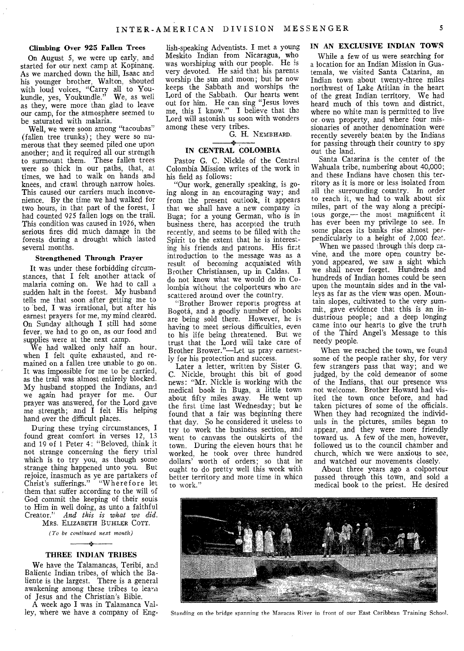#### **Climbing Over 925 Fallen Trees**

On August 5, we were up early, and started for our next camp at Kopinang. As we marched down the hill, Isaac and his younger brother, Walton, shouted with loud voices, "Carry all to Youkundle, yes, Youkundle." We, as well as they, were more than glad to leave our camp, for the atmosphere seemed to be saturated with malaria.

Well, we were soon among "tacoubas" (fallen tree trunks); they were so numerous that they seemed piled one upon another; and it required all our strength to surmount them. These fallen trees were so thick in our paths, that, at times, we had to walk on hands and knees, and crawl through narrow holes. This caused our carriers much inconvenience. By the time we had walked for two hours, in that part of the forest, I had counted 925 fallen logs on the trail. This condition was caused in 1926, when serious fires did much damage in the forests during a drought which lasted several months.

#### **Strengthened Through Prayer**

It was under these forbidding circumstances, that I felt another attack of malaria coming on. We had to call a sudden halt in the forest. My husband tells me that soon after getting me to to bed, I was irrational, but after his earnest prayers for me, my mind cleared. On Sunday although I still had some fever, we had to go on, as our food and supplies were at the next camp.

We had walked only half an hour, when I felt quite exhausted, and remained on a fallen tree unable to go on. It was impossible for me to be carried, as the trail was almost entirely blocked. My husband stopped the Indians, and we again had prayer for me. Our prayer was answered, for the Lord gave me strength; and I felt His helping hand over the difficult places.

During these trying circumstances, I found great comfort in verses 12, 13 and 19 of 1 Peter 4: "Beloved, think it not strange concerning the fiery trial which is to try you, as though some strange thing happened unto you. But rejoice, inasmuch as ye are partakers of Christ's sufferings." "Wherefore let them that suffer according to the will of God commit the keeping of their souis to Him in well doing, as unto a faithful Creator." *And this is what we did.*  MRS. ELIZABETH BUHLER COTT.

*(To be continued next month)* 

 $\frac{1}{2}$ 

#### **THREE INDIAN TRIBES**

We have the Talamancas, Teribi, and Baliente Indian tribes, of which the Baliente is the largest. There is a general awakening among these tribes to learn of Jesus and the Christian's Bible.

A week ago I was in Talamanca Valley, where we have a company of Eng-

lish-speaking Adventists. I met a young Meskito Indian from Nicaragua, who was worshiping with our people. He is very devoted. He said that his parents worship the sun and moon; but he now keeps the Sabbath and worships the Lord of the Sabbath. Our hearts went out for him. He can sing "Jesus loves me, this I know." I believe that the Lord will astonish us soon with wonders among these very tribes.

G. H. NEMBHARD.

#### **IN CENTRAL COLOMBIA**

Pastor G. C. Nickle of the Central Colombia Mission writes of the work in his field as follows:

"Our work, generally speaking, is going along in an encouraging way; and from the present outlook, it appears that we shall have a new company in Buga; for a young German, who is in business there, has accepted the truth recently, and seems to be filled with the Spirit to the extent that he is interesting his friends and patrons. His fir3t introduction to the message was as a result of becoming acquainted with Brother Christiansen, up in Caldas. I do not know what we would do in Colombia without the colporteurs who are scattered around over the country.

"Brother Brower reports progress at Bogota, and a goodly number of books are being sold there. However, he is having to meet serious difficulties, even to his life being threatened. But we trust that the Lord will take care of Brother Brower."—Let us pray earnestly for his protection and success.

Later a letter, written by Sister G. C. Nickle, brought this bit of good news: "Mr. Nickle is working with the medical book in Buga, a little town about fifty miles away. He went up the first time last Wednesday; but he found that a fair was beginning there that day. So he considered it useless to try to work the business section, and went to canvass the outskirts of the town. During the eleven hours that he worked, he took over three hundred dollars' worth of orders; so that he ought to do pretty well this week with better territory and more time in whicn to work."

#### IN **AN EXCLUSIVE INDIAN TOWS**

While a few of us were searching for a location for an Indian Mission in Guatemala, we visited Santa Catarina, an Indian town about twenty-three miles northwest of Lake Atitlan in the heart of the great Indian territory. We had heard much of this town and district, where no white man is permitted to live or own property, and where four missionaries of another denomination were recently severely beaten by the Indians for passing through their country to spy out the land.

Santa Catarina is the center of the Wahuala tribe, numbering about 40,000; and these Indians have chosen this territory as it is more or less isolated from all the surrounding country. In order to reach it, we had to walk about six miles, part of the way along a precipitous gorge,— the most magnificent it has ever been my privilege to see. In some places its banks rise almost perpendicularly to a height of 2,000 feat.

When we passed through this deep ravine, and the more open country beyond appeared, we saw a sight which we shall never forget. Hundreds and hundreds of Indian homes could be seen upon the mountain sides and in the valleys as far as the view was open. Mountain slopes, cultivated to the very summit, gave evidence that this is an industrious people; and a deep longing came into our hearts to give the truth of the Third Angel's Message to this needy people.

When we reached the town, we found some of the people rather shy, for very few strangers pass that way; and we judged, by the cold demeanor of some of the Indians, that our presence was not welcome. Brother Howard had visited the town once before, and had taken pictures of some of the officials. When they had recognized the individuals in the pictures, smiles began to appear, and they were more friendly toward us. A few of the men, however, followed us to the council chamber and church, which we were anxious to see, and watched our movements closely.

About three years ago a colporteur passed through this town, and sold a medical book to the priest. He desired



Standing on the bridge spanning the Maracas River in front of our East Caribbean Training School.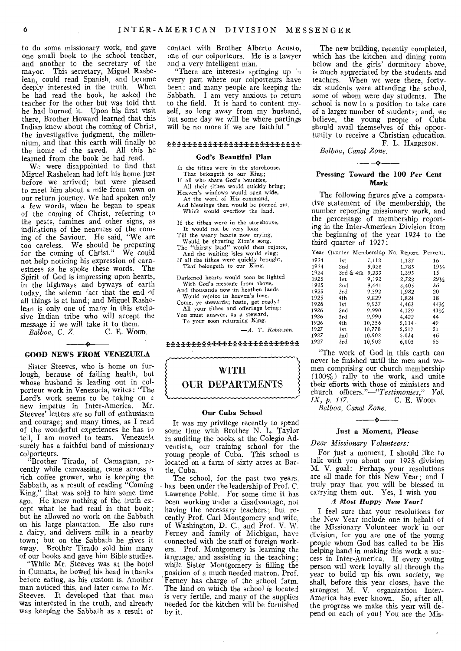to do some missionary work, and gave one small book to the school teacher, and another to the secretary of the mayor. This secretary, Miguel Rashelean, could read Spanish, and became deeply interested in the truth. When he had read the book, he asked the teacher for the other but was told that he had burned it. Upon his first visit there, Brother Howard learned that this Indian knew about the coming of Christ, the investigative judgment, the millennium, and that this earth will finally be the home of the saved. All this he learned from the book he had read.

We were disappointed to find that Miguel Rashelean had left his home just before we arrived; but were pleased to meet him about a mile from town on our return journey. We had spoken only a few words, when he began to spear of the coming of Christ, referring to the pests, famines and other signs, as indications of the nearness of the coming of the Saviour. He said, "We are too careless. We should be preparing for the coming of Christ." We could not help noticing his expression of earnestness as he spoke these words. The Spirit of God is impressing upon hearts, in the highways and byways of earth today, the solemn fact that the end of all things is at hand; and Miguel Rashelean is only one of many in this exclusive Indian tribe who will accept the message if we will take it to them.<br> $Balboa$ , C. Z. C. E. WOOD.

 $Bal\bar{b}oa$ , C. Z.

#### GOOD NEWS FROM VENEZUELA

Sister Steeves, who is home on furlough, because of failing health, but whose husband is leading out in colporteur work in Venezuela, writes: "The Lord's work seems to be taking on a new impetus in Inter-America. Mr. Steeves' letters are so full of enthusiasm and courage; and many times, as I read of the wonderful experiences he has to tell, I am moved to tears. Venezuela surely has a faithful band of missionary colporteurs.

"Brother Tirado, of Camaguan, recently while canvassing, came across *a*  rich coffee grower, who is keeping the Sabbath, as a result of reading "Coming King," that was sold to him some time ago. He knew nothing of the truth except what he had read in that book; but he allowed no work on the Sabbath on his large plantation. He also runs a dairy, and delivers milk in a nearby town; but on the Sabbath he gives it away. Brother Tirado sold him many of our books and gave him Bible studies.

"While Mr. Steeves was at the hotel in Cumana, he bowed his head in thanks before eating, as his custom is. Another man noticed this, and later came to Mr. Steeves. It developed that that man was interested in the truth, and already was keeping the Sabbath as a result of

contact with Brother Alberto Acusto, one of our colporteurs. He is a lawyer and a very intelligent man.

"There are interests springing up a every part where our colporteurs have been; and many people are keeping the Sabbath. I am very anxious to return to the field. It is hard to content myself, so long away from my husband, but some day we will be where partings will be no more if we are faithful."

#### *<u>\*\*\*\*\*\*\*\*\*\*\*\*\*\*\*\*\*\*\*\*\*\*\*\*\*\*</u>\*\**

#### God's Beautiful Plan

- If the tithes were in the storehouse, That belongeth to our King;
- If all who share God's bounties, All their tithes would quickly bring; Heaven's windows would open wide, At the word of His command,
- And blessings then would be poured out, Which would overflow the land.
- If the tithes were in the storehouse, It would not be very long
- 
- Till the weary hearts now crying, Would be shouting Zion's song. The "thirsty land" would then rejoice, And the waiting isles would sing;
- If all the tithes were quickly brought, That belongeth to our King.
- Darkened hearts would soon be lighted
- With God's message from above, And thousands now in heathen lands
- Would rejoice in heaven's love. Come, ye stewards; haste, get ready!
- All your tithes and offerings bring: You must answer, as a steward, To your soon returning King.

*-A. T.* Robinson.

**ቝቚቝቚቚቚቚቚቚቚቚቚቚቚቚቚቚቚቚቚ** 

### WITH OUR DEPARTMENTS

#### Our Cuba School

It was my privilege recently to spend some time with Brother N. L. Taylor in auditing the books at the Colegio Adventista, our training school for the young people of Cuba. This school Is located on a farm of sixty acres at Bartle, Cuba.

The school, for the past two years, has been under the leadership of Prof. C. Lawrence Pohle. For some time it has been working under a disadvantage, not having the necessary teachers; but recently Prof. Carl Montgomery and wife, of Washington, D. C., and Prof. V. W. Ferney and family of Michigan, have connected with the staff of foreign workers. Prof. Montgomery is learning the language, and assisting in the teaching; while Sister Montgomery is filling the position of a much needed matron. Prof. Ferney has charge of the school farm. The land on which the school is located is very fertile, and many of the supplies needed for the kitchen will be furnished by it.

The new building, recently completed, which has the kitchen and dining room below and the girls' dormitory above, is much appreciated by the students and teachers. When we were there, fortysix students were attending the school, some of whom were day students. The school is now in a position to take care of a larger number of students; and, *we*  believe, the young people of Cuba should avail themselves of this opportunity to receive a Christian education.

F. L. HARRISON.

*Balboa, Canal Zone.*   $\frac{1}{2}$   $\frac{1}{2}$   $\frac{1}{2}$   $\frac{1}{2}$   $\frac{1}{2}$   $\frac{1}{2}$   $\frac{1}{2}$   $\frac{1}{2}$   $\frac{1}{2}$   $\frac{1}{2}$   $\frac{1}{2}$   $\frac{1}{2}$   $\frac{1}{2}$   $\frac{1}{2}$   $\frac{1}{2}$   $\frac{1}{2}$   $\frac{1}{2}$   $\frac{1}{2}$   $\frac{1}{2}$   $\frac{1}{2}$   $\frac{1}{2}$   $\frac{1}{2}$ 

#### Pressing Toward the 100 Per Cent Mark

The following figures give a comparative statement of the membership, the number reporting missionary work, and the percentage of membership reporting in the Inter-American Division from the beginning of the year 1924 to the third quarter of 1927:

|         | Year Quarter Membership No. Report. Percent. |  |  |
|---------|----------------------------------------------|--|--|
| - - - - | .                                            |  |  |

| 1924 | 1st       | 7,112  | 1,137         | 16              |
|------|-----------|--------|---------------|-----------------|
| 1924 | 2nd       | 9,028  | 1.785         | 1936            |
| 1924 | 3rd & 4th | 9,233  | 1,395         | 15              |
| 1925 | 1st       | 9,192  | 2,722         | 291/2           |
| 1925 | 2nd       | 9.441  | 3,405         | 36              |
| 1925 | 3rd       | 9.592  | 1,982         | 20              |
| 1925 | 4th       | 9.829  | 1.824         | 18              |
| 1926 | 1st       | 9.937  | 4,463         | 441/2           |
| 1926 | 2nd       | 9.990  | 4.129         | $41\frac{1}{2}$ |
| 1926 | 3rd       | 9.990  | 4.422         | 44              |
| 1926 | 4th       | 10,356 | $5.114 \cdot$ | 49              |
| 1927 | 1st       | 10,778 | 5.517         | 51              |
| 1927 | 2nd       | 10.902 | 5.034         | 46              |
| 1927 | 3rd       | 10.902 | 6,005         | 55              |
|      |           |        |               |                 |

"The work of God in this earth can never be finished until the men and women comprising our church membership (100%) rally to the work, and unite their efforts with those of ministers and church officers."—"Testimonies," Vol.<br>*IX*, p. 117. C. E. Woop. *IX, p. 117.* C. E. WCYOD.

*Balboa, Canal Zone.* 

#### $\rightarrow$ Just a Moment, Please

#### *Dear Missionary Volunteers:*

For just a moment, I should like to talk with you about our 1928 division M. V. goal: Perhaps your resolutions are all made for this New Year; and I truly pray that you will be blessed in carrying them out. Yes, I wish you

#### *A Most Happy New Year!*

I feel sure that your resolutions for the New Year include one in behalf of the Missionary Volunteer work-in our division, for you are one of the young people whom God has called to be His helping hand in making this work a success in Inter-America. If every young person will work loyally all through the year to build up his own society, we shall, before this year closes, have the strongest M. V. organization Inter-America has ever known. So, after all, the progress we make this year will depend on each of you! You are the Mis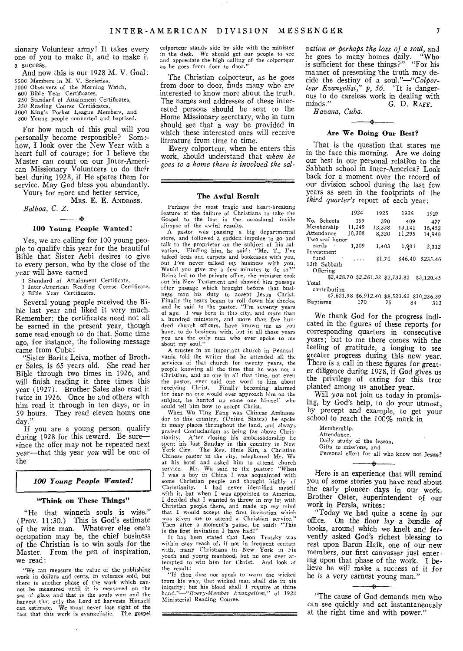sionary Volunteer army! It takes every one of you to make it, and to make ii a success.

And now this is our 1928 M. V. Goal: 5500 Members in M. V. Societies,

3000 Observers of the Morning Watch, 600 Bible Year Certificates,

250 Standard of Attainment Certificates,

350 Reading Course Certificates, 3000 King's Pocket League Members, and

300 Young people converted and baptized.

For how much of this goal will you personally become responsible? Som-3how, I look over the New Year with a heart full of courage; for I believe the Master can count on our Inter-American Missionary Volunteers to do their best during 1928, if He spares them for service. May God bless you abundantly.

Yours for more and better service, MRS. E. E. ANDROSS.

*Balboa, C. Z.* 

#### $\rightarrow$ 100 Young People Wanted!

Yes, we are calling for 100 young people to qualify this year for the beautiful Bible that Sister Aebi desires to give to every person, who by the close of the year will have earned

1 Standard of Attainment Certificate,<br>1 Inter-American Reading Course Cer

1 Inter-American Reading Course Certificate, 3 Bible Year Certificates.

Several young people received the Bible last year and liked it very much. Remember; the certificates need not all be earned in the present year, though some read enough to do that. Some time ago, for instance, the following message came from Cuba:

"Sister Barita Leiva, mother of Brother Sales, is 65 years old. She read her Bible through two times in 1926, and will finish reading it three times this year (1927). Brother Sales also read it twice in 1926. Once he and others with him read it through in ten days, or in 59 hours. They read eleven hours one day."

If you are a young person, qualify during 1928 for this reward. Be sure since the offer may not be repeated next year—that this year *you* will be one of the

#### *100 Young People Wanted!*

#### "Think on These Things"

"He that winneth souls is wise." (Prov. 11:30.) This is God's estimate of the wise man. Whatever else one's occupation may be, the chief business of the Christian is to win souls for the Master. From the pen of inspiration, we read:

"We can measure the value of the publishing work in dollars and cents, in volumes sold, but there is another phase of the work which can-not be measured until it is measured on the sea of glass and that is the souls won and the harvest that only the Lord of harvests Himself can estimate. We must never lose sight of the fact that this work is evangelistic. The gospel

colporteur stands side by side with the minister in the desk. We should get our people to see and appreciate the high calling of the colporteur as he goes from door to door."

The Christian colporteur, as he goes from door to door, finds many who are interested to know more about the truth. The names and addresses of these interested persons should be sent to the Home Missionary secretary, who in turn should see that a way be provided in which these interested ones will receive literature from time to time.

Every colporteur, when he enters this work, should understand that *when he goes to a home there is involved the sal-*

### <u> 1988 - Jan James James Barnett, amerikan basar pada 2000 (basal dan bidang basar pada 2000)</u> The Awful Result

Perhaps the most tragic and heart-breaking feature of the failure of Christians to take the Gospel to the lost is the occasional inside glimpse of the awful results.

A pastor was passing a big departmental store, and followed a sudden impulse to go and talk to the proprietor on the subject of his sal-vation. Finding him, he said: "Mr. T., I've talked beds and carpets and bookcases with you,<br>but I've never talked my business with you. Would you give me a few minutes to do so?" Being led to the private office, the minister took out his New Testament and showed him passage after passage which brought before that business man his duty to accept Jesus Christ. Finally the tears began to roll down his cheeks, and he said to the pastor, "I'm seventy years of age. I was born in this city, and *more* than a hundred ministers, and more than five hundred church officers, have known me as you have, to do business with, but in all those years you are the only man who ever spoke to me about my soul."

A trustee in an important church in Pennsyl vania told the writer that he attended all the services of that church for twenty years, the people knowing all the time that he was not a Christian, and no one in all that time, not even the pastor, ever said one word to him about receiving Christ. Finally becoming alarmed for fear no one would ever approach him on the subject, he hunted up some one himself who could tell him how to accept Christ.

When Wu Ting Fang was Chinese Ambassador to this country, (United States) he spoke in many places throughout the land, and always praised Confucianism as being far above Christianity. After closing his ambassadorship he spent his last Sunday in this country in *New*  York City. The Rev. Huie Kin, a Christian Chinese pastor in the city, telephoned Mr. Wu at his hotel and asked him to attend church service. Mr. Wu said to the pastor: "When I was a boy in China I was acquainted with some Christian people and thought highly cf Christianity. I had never identified myself with it, but when I was appointed to America, I decided that I wanted to throw in my lot with Christian people there, and made up my mind that I would accept the first invitation which was given me to attend a Christian service." Then after a moment's pause, he said: "This is the first invitation I have had!"

It has been stated that Leon Trotzky was within easy reach of, if not in frequent contact with, many Christians in New York in his youth and young manhood, but no one ever attempted to win him for Christ. And look at

the result! "If thou dost not speak to warn the wicked from his way, that wicked man shall die in nis<br>iniquity; but his blood shall I require at thine<br>hand."—"*Every-Member Evangelism*," of *1928* Ministerial Reading Course.

*vation or perhaps the loss of a soul,* and he goes to many homes daily. "Who is sufficient for these things?" "For his manner of presenting the truth may decide the destiny of a *soul."—"Colporteur Evangelist," p, 56.* "It is dangerous to do careless work in dealing with minds." G. D. RAFF. minds." *G.* D. RAVE.

*Havana, Cuba.* 

#### ÷ Are We Doing Our Best?

That is the question that stares me in the face this morning. Are we doing our best in our personal relation to the Sabbath school in Inter-America? Look back for a moment over the record of our division school during the last few years as seen in the footprints of the *third quarter's* report of each year:

|                | 1924   | 1925                             | 1926    | 1927       |
|----------------|--------|----------------------------------|---------|------------|
| No. Schools    | 359    | 390                              | 409     | 477        |
| Membership     | 11,249 | 12,338                           | 13,141  | 16.452     |
| Attendance     | 10.308 | 8,320                            | 11.295  | 14.940     |
| Two seal honor |        |                                  |         |            |
| cards          | 1,309  | 1,403                            | 1,901   | 2,312      |
| Investment     |        |                                  |         |            |
| fund           | .      | \$1.70                           | \$46.40 | \$235.46   |
| 13th Sabbath   |        |                                  |         |            |
| Offering       |        |                                  |         |            |
|                |        | \$2,428.70 \$2,261.32 \$2,733.82 |         | \$3,120.45 |
| Total          |        |                                  |         |            |

contribution \$7,621.98 \$6,912.40 \$8,523.62 \$10,236.39 Baptisms 170 75 84 313

We thank God for the progress indicated in the figures of these reports for corresponding quarters in consecutive years; but to me there comes with the feeling of gratitude, a longing to see greater progress during this new year. There is a call in these figures for greater diligence during 1928, if God gives us the privilege of caring for this tree planted among us another year.

Will *you* not join us today in promising, by God's help, to do your utmost, by precept and example, to get your school to reach the 100% mark in

Membership, Attendance, Daily study of the lesson, Gifts to missions, and Personal effort for all who know not Jesus?

Here is an experience that will remind you of some stories you have read about the early pioneer. days in our work. Brother Oster, superintendent of our work in Persia, writes:

"Today we had quite a scene in our office. On the floor lay a bundle of books, around which we knelt and fervently asked God's richest blessing to rest upon Baron Haik, one of our new members, our first canvasser just entering upon that phase of the work. I believe he will make a success of it for he is a very earnest young man."

"The cause of God demands men who can see quickly and act instantaneously at the right time and with power."